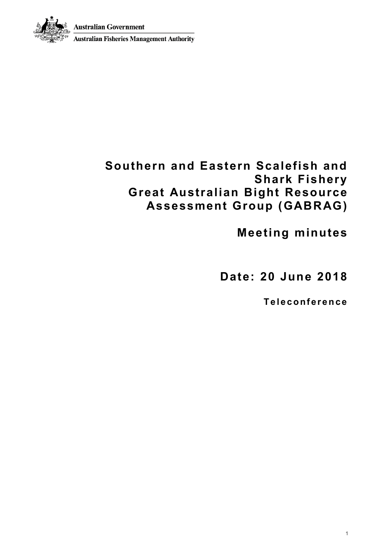**Australian Government** 



## **Southern and Eastern Scalefish and Shark Fishery Great Australian Bight Resource Assessment Group (GABRAG)**

**Meeting minutes**

**Date: 20 June 2018**

**T e l e c o nf er e n ce**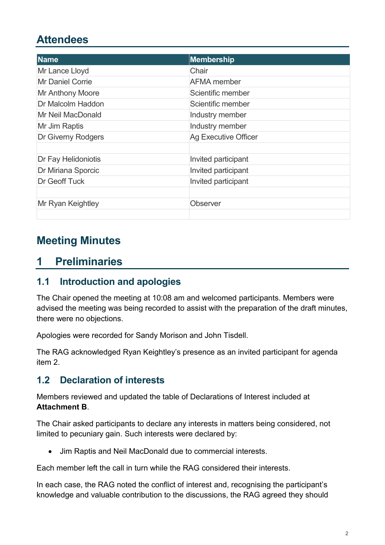# **Attendees**

| <b>Name</b>             | Membership                  |
|-------------------------|-----------------------------|
| Mr Lance Lloyd          | Chair                       |
| <b>Mr Daniel Corrie</b> | AFMA member                 |
| <b>Mr Anthony Moore</b> | Scientific member           |
| Dr Malcolm Haddon       | Scientific member           |
| Mr Neil MacDonald       | Industry member             |
| Mr Jim Raptis           | Industry member             |
| Dr Giverny Rodgers      | <b>Ag Executive Officer</b> |
|                         |                             |
| Dr Fay Helidoniotis     | Invited participant         |
| Dr Miriana Sporcic      | Invited participant         |
| Dr Geoff Tuck           | Invited participant         |
|                         |                             |
| Mr Ryan Keightley       | Observer                    |
|                         |                             |

# **Meeting Minutes**

## **1 Preliminaries**

### **1.1 Introduction and apologies**

The Chair opened the meeting at 10:08 am and welcomed participants. Members were advised the meeting was being recorded to assist with the preparation of the draft minutes, there were no objections.

Apologies were recorded for Sandy Morison and John Tisdell.

The RAG acknowledged Ryan Keightley's presence as an invited participant for agenda item 2.

### **1.2 Declaration of interests**

Members reviewed and updated the table of Declarations of Interest included at **Attachment B**.

The Chair asked participants to declare any interests in matters being considered, not limited to pecuniary gain. Such interests were declared by:

• Jim Raptis and Neil MacDonald due to commercial interests.

Each member left the call in turn while the RAG considered their interests.

In each case, the RAG noted the conflict of interest and, recognising the participant's knowledge and valuable contribution to the discussions, the RAG agreed they should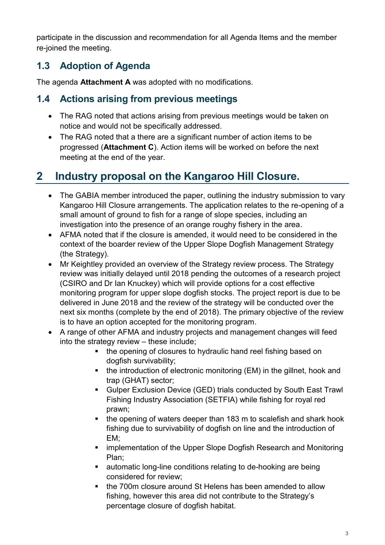participate in the discussion and recommendation for all Agenda Items and the member re-joined the meeting.

## **1.3 Adoption of Agenda**

The agenda **Attachment A** was adopted with no modifications.

### **1.4 Actions arising from previous meetings**

- The RAG noted that actions arising from previous meetings would be taken on notice and would not be specifically addressed.
- The RAG noted that a there are a significant number of action items to be progressed (**Attachment C**). Action items will be worked on before the next meeting at the end of the year.

# **2 Industry proposal on the Kangaroo Hill Closure.**

- The GABIA member introduced the paper, outlining the industry submission to vary Kangaroo Hill Closure arrangements. The application relates to the re-opening of a small amount of ground to fish for a range of slope species, including an investigation into the presence of an orange roughy fishery in the area.
- AFMA noted that if the closure is amended, it would need to be considered in the context of the boarder review of the Upper Slope Dogfish Management Strategy (the Strategy).
- Mr Keightley provided an overview of the Strategy review process. The Strategy review was initially delayed until 2018 pending the outcomes of a research project (CSIRO and Dr Ian Knuckey) which will provide options for a cost effective monitoring program for upper slope dogfish stocks. The project report is due to be delivered in June 2018 and the review of the strategy will be conducted over the next six months (complete by the end of 2018). The primary objective of the review is to have an option accepted for the monitoring program.
- A range of other AFMA and industry projects and management changes will feed into the strategy review – these include;
	- the opening of closures to hydraulic hand reel fishing based on dogfish survivability;
	- the introduction of electronic monitoring (EM) in the gillnet, hook and trap (GHAT) sector;
	- Gulper Exclusion Device (GED) trials conducted by South East Trawl Fishing Industry Association (SETFIA) while fishing for royal red prawn;
	- the opening of waters deeper than 183 m to scalefish and shark hook fishing due to survivability of dogfish on line and the introduction of EM;
	- implementation of the Upper Slope Dogfish Research and Monitoring Plan;
	- automatic long-line conditions relating to de-hooking are being considered for review;
	- the 700m closure around St Helens has been amended to allow fishing, however this area did not contribute to the Strategy's percentage closure of dogfish habitat.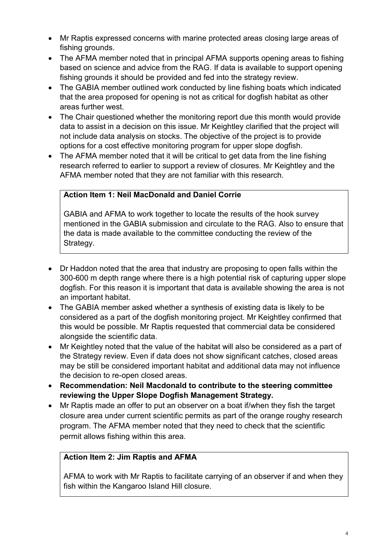- Mr Raptis expressed concerns with marine protected areas closing large areas of fishing grounds.
- The AFMA member noted that in principal AFMA supports opening areas to fishing based on science and advice from the RAG. If data is available to support opening fishing grounds it should be provided and fed into the strategy review.
- The GABIA member outlined work conducted by line fishing boats which indicated that the area proposed for opening is not as critical for dogfish habitat as other areas further west.
- The Chair questioned whether the monitoring report due this month would provide data to assist in a decision on this issue. Mr Keightley clarified that the project will not include data analysis on stocks. The objective of the project is to provide options for a cost effective monitoring program for upper slope dogfish.
- The AFMA member noted that it will be critical to get data from the line fishing research referred to earlier to support a review of closures. Mr Keightley and the AFMA member noted that they are not familiar with this research.

### **Action Item 1: Neil MacDonald and Daniel Corrie**

GABIA and AFMA to work together to locate the results of the hook survey mentioned in the GABIA submission and circulate to the RAG. Also to ensure that the data is made available to the committee conducting the review of the Strategy.

- Dr Haddon noted that the area that industry are proposing to open falls within the 300-600 m depth range where there is a high potential risk of capturing upper slope dogfish. For this reason it is important that data is available showing the area is not an important habitat.
- The GABIA member asked whether a synthesis of existing data is likely to be considered as a part of the dogfish monitoring project. Mr Keightley confirmed that this would be possible. Mr Raptis requested that commercial data be considered alongside the scientific data.
- Mr Keightley noted that the value of the habitat will also be considered as a part of the Strategy review. Even if data does not show significant catches, closed areas may be still be considered important habitat and additional data may not influence the decision to re-open closed areas.
- **Recommendation: Neil Macdonald to contribute to the steering committee reviewing the Upper Slope Dogfish Management Strategy.**
- Mr Raptis made an offer to put an observer on a boat if/when they fish the target closure area under current scientific permits as part of the orange roughy research program. The AFMA member noted that they need to check that the scientific permit allows fishing within this area.

#### **Action Item 2: Jim Raptis and AFMA**

AFMA to work with Mr Raptis to facilitate carrying of an observer if and when they fish within the Kangaroo Island Hill closure.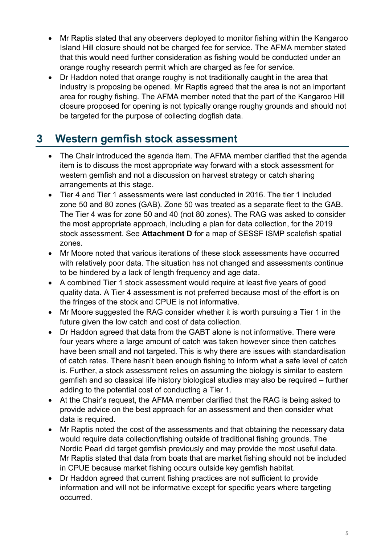- Mr Raptis stated that any observers deployed to monitor fishing within the Kangaroo Island Hill closure should not be charged fee for service. The AFMA member stated that this would need further consideration as fishing would be conducted under an orange roughy research permit which are charged as fee for service.
- Dr Haddon noted that orange roughy is not traditionally caught in the area that industry is proposing be opened. Mr Raptis agreed that the area is not an important area for roughy fishing. The AFMA member noted that the part of the Kangaroo Hill closure proposed for opening is not typically orange roughy grounds and should not be targeted for the purpose of collecting dogfish data.

# **3 Western gemfish stock assessment**

- The Chair introduced the agenda item. The AFMA member clarified that the agenda item is to discuss the most appropriate way forward with a stock assessment for western gemfish and not a discussion on harvest strategy or catch sharing arrangements at this stage.
- Tier 4 and Tier 1 assessments were last conducted in 2016. The tier 1 included zone 50 and 80 zones (GAB). Zone 50 was treated as a separate fleet to the GAB. The Tier 4 was for zone 50 and 40 (not 80 zones). The RAG was asked to consider the most appropriate approach, including a plan for data collection, for the 2019 stock assessment. See **Attachment D** for a map of SESSF ISMP scalefish spatial zones.
- Mr Moore noted that various iterations of these stock assessments have occurred with relatively poor data. The situation has not changed and assessments continue to be hindered by a lack of length frequency and age data.
- A combined Tier 1 stock assessment would require at least five years of good quality data. A Tier 4 assessment is not preferred because most of the effort is on the fringes of the stock and CPUE is not informative.
- Mr Moore suggested the RAG consider whether it is worth pursuing a Tier 1 in the future given the low catch and cost of data collection.
- Dr Haddon agreed that data from the GABT alone is not informative. There were four years where a large amount of catch was taken however since then catches have been small and not targeted. This is why there are issues with standardisation of catch rates. There hasn't been enough fishing to inform what a safe level of catch is. Further, a stock assessment relies on assuming the biology is similar to eastern gemfish and so classical life history biological studies may also be required – further adding to the potential cost of conducting a Tier 1.
- At the Chair's request, the AFMA member clarified that the RAG is being asked to provide advice on the best approach for an assessment and then consider what data is required.
- Mr Raptis noted the cost of the assessments and that obtaining the necessary data would require data collection/fishing outside of traditional fishing grounds. The Nordic Pearl did target gemfish previously and may provide the most useful data. Mr Raptis stated that data from boats that are market fishing should not be included in CPUE because market fishing occurs outside key gemfish habitat.
- Dr Haddon agreed that current fishing practices are not sufficient to provide information and will not be informative except for specific years where targeting occurred.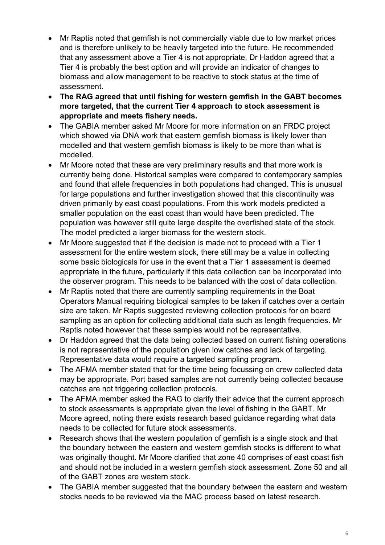- Mr Raptis noted that gemfish is not commercially viable due to low market prices and is therefore unlikely to be heavily targeted into the future. He recommended that any assessment above a Tier 4 is not appropriate. Dr Haddon agreed that a Tier 4 is probably the best option and will provide an indicator of changes to biomass and allow management to be reactive to stock status at the time of assessment.
- **The RAG agreed that until fishing for western gemfish in the GABT becomes more targeted, that the current Tier 4 approach to stock assessment is appropriate and meets fishery needs.**
- The GABIA member asked Mr Moore for more information on an FRDC project which showed via DNA work that eastern gemfish biomass is likely lower than modelled and that western gemfish biomass is likely to be more than what is modelled.
- Mr Moore noted that these are very preliminary results and that more work is currently being done. Historical samples were compared to contemporary samples and found that allele frequencies in both populations had changed. This is unusual for large populations and further investigation showed that this discontinuity was driven primarily by east coast populations. From this work models predicted a smaller population on the east coast than would have been predicted. The population was however still quite large despite the overfished state of the stock. The model predicted a larger biomass for the western stock.
- Mr Moore suggested that if the decision is made not to proceed with a Tier 1 assessment for the entire western stock, there still may be a value in collecting some basic biologicals for use in the event that a Tier 1 assessment is deemed appropriate in the future, particularly if this data collection can be incorporated into the observer program. This needs to be balanced with the cost of data collection.
- Mr Raptis noted that there are currently sampling requirements in the Boat Operators Manual requiring biological samples to be taken if catches over a certain size are taken. Mr Raptis suggested reviewing collection protocols for on board sampling as an option for collecting additional data such as length frequencies. Mr Raptis noted however that these samples would not be representative.
- Dr Haddon agreed that the data being collected based on current fishing operations is not representative of the population given low catches and lack of targeting. Representative data would require a targeted sampling program.
- The AFMA member stated that for the time being focussing on crew collected data may be appropriate. Port based samples are not currently being collected because catches are not triggering collection protocols.
- The AFMA member asked the RAG to clarify their advice that the current approach to stock assessments is appropriate given the level of fishing in the GABT. Mr Moore agreed, noting there exists research based guidance regarding what data needs to be collected for future stock assessments.
- Research shows that the western population of gemfish is a single stock and that the boundary between the eastern and western gemfish stocks is different to what was originally thought. Mr Moore clarified that zone 40 comprises of east coast fish and should not be included in a western gemfish stock assessment. Zone 50 and all of the GABT zones are western stock.
- The GABIA member suggested that the boundary between the eastern and western stocks needs to be reviewed via the MAC process based on latest research.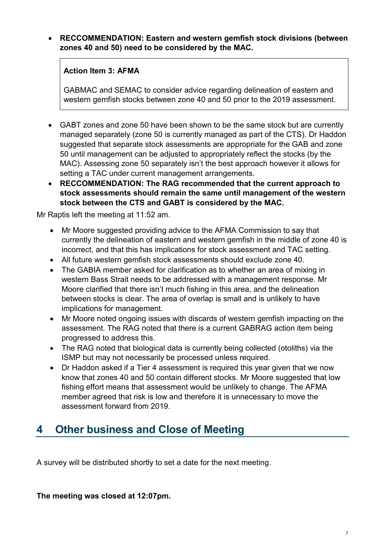### • **RECCOMMENDATION: Eastern and western gemfish stock divisions (between zones 40 and 50) need to be considered by the MAC.**

### **Action Item 3: AFMA**

GABMAC and SEMAC to consider advice regarding delineation of eastern and western gemfish stocks between zone 40 and 50 prior to the 2019 assessment.

- GABT zones and zone 50 have been shown to be the same stock but are currently managed separately (zone 50 is currently managed as part of the CTS). Dr Haddon suggested that separate stock assessments are appropriate for the GAB and zone 50 until management can be adjusted to appropriately reflect the stocks (by the MAC). Assessing zone 50 separately isn't the best approach however it allows for setting a TAC under current management arrangements.
- **RECCOMMENDATION: The RAG recommended that the current approach to stock assessments should remain the same until management of the western stock between the CTS and GABT is considered by the MAC.**

Mr Raptis left the meeting at 11:52 am.

- Mr Moore suggested providing advice to the AFMA Commission to say that currently the delineation of eastern and western gemfish in the middle of zone 40 is incorrect, and that this has implications for stock assessment and TAC setting.
- All future western gemfish stock assessments should exclude zone 40.
- The GABIA member asked for clarification as to whether an area of mixing in western Bass Strait needs to be addressed with a management response. Mr Moore clarified that there isn't much fishing in this area, and the delineation between stocks is clear. The area of overlap is small and is unlikely to have implications for management.
- Mr Moore noted ongoing issues with discards of western gemfish impacting on the assessment. The RAG noted that there is a current GABRAG action item being progressed to address this.
- The RAG noted that biological data is currently being collected (otoliths) via the ISMP but may not necessarily be processed unless required.
- Dr Haddon asked if a Tier 4 assessment is required this vear given that we now know that zones 40 and 50 contain different stocks. Mr Moore suggested that low fishing effort means that assessment would be unlikely to change. The AFMA member agreed that risk is low and therefore it is unnecessary to move the assessment forward from 2019.

# **4 Other business and Close of Meeting**

A survey will be distributed shortly to set a date for the next meeting.

**The meeting was closed at 12:07pm.**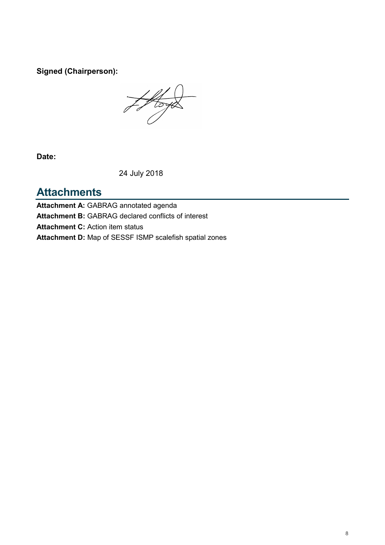**Signed (Chairperson):**

Hoya

**Date:**

24 July 2018

## **Attachments**

**Attachment A:** GABRAG annotated agenda **Attachment B:** GABRAG declared conflicts of interest **Attachment C:** Action item status **Attachment D:** Map of SESSF ISMP scalefish spatial zones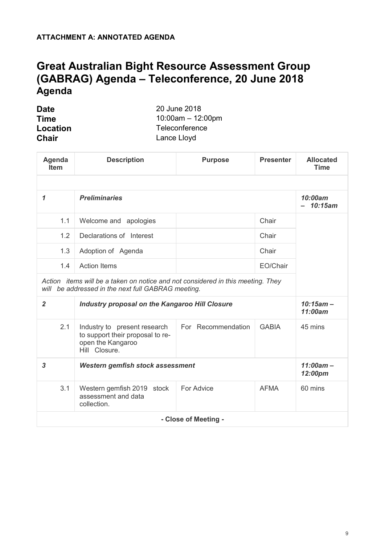## **Great Australian Bight Resource Assessment Group (GABRAG) Agenda – Teleconference, 20 June 2018 Agenda**

| <b>Date</b>  | 20 June 2018           |
|--------------|------------------------|
| <b>Time</b>  | $10:00$ am $-12:00$ pm |
| Location     | Teleconference         |
| <b>Chair</b> | Lance Lloyd            |

| Agenda<br><b>Item</b> | <b>Description</b>                                                                                                                    | <b>Purpose</b>       | <b>Presenter</b> | <b>Allocated</b><br><b>Time</b> |  |  |  |  |
|-----------------------|---------------------------------------------------------------------------------------------------------------------------------------|----------------------|------------------|---------------------------------|--|--|--|--|
|                       |                                                                                                                                       |                      |                  |                                 |  |  |  |  |
| 1                     | <b>Preliminaries</b>                                                                                                                  |                      |                  | 10:00am<br>10:15am              |  |  |  |  |
| 1.1                   | Welcome and apologies                                                                                                                 |                      | Chair            |                                 |  |  |  |  |
| 1.2                   | Declarations of Interest                                                                                                              |                      | Chair            |                                 |  |  |  |  |
| 1.3                   | Chair<br>Adoption of Agenda                                                                                                           |                      |                  |                                 |  |  |  |  |
| 1.4                   | <b>Action Items</b>                                                                                                                   |                      | EO/Chair         |                                 |  |  |  |  |
|                       | Action items will be a taken on notice and not considered in this meeting. They<br>will be addressed in the next full GABRAG meeting. |                      |                  |                                 |  |  |  |  |
| $\overline{2}$        | <b>Industry proposal on the Kangaroo Hill Closure</b>                                                                                 |                      |                  | $10:15am -$<br>11:00am          |  |  |  |  |
| 2.1                   | Industry to present research<br>to support their proposal to re-<br>open the Kangaroo<br>Hill Closure.                                | For Recommendation   | <b>GABIA</b>     | 45 mins                         |  |  |  |  |
| $\overline{3}$        | $11:00am -$<br>12:00pm                                                                                                                |                      |                  |                                 |  |  |  |  |
| 3.1                   | Western gemfish 2019 stock<br>assessment and data<br>collection.                                                                      | For Advice           | <b>AFMA</b>      | 60 mins                         |  |  |  |  |
|                       |                                                                                                                                       | - Close of Meeting - |                  |                                 |  |  |  |  |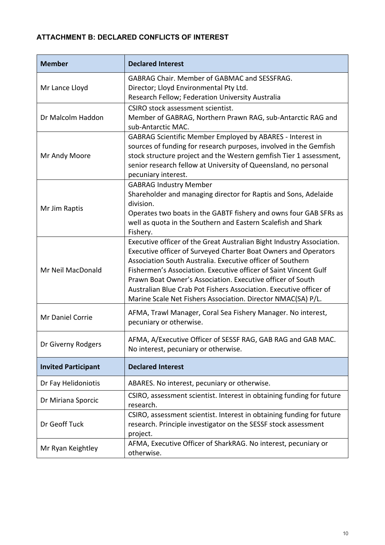### **ATTACHMENT B: DECLARED CONFLICTS OF INTEREST**

| <b>Member</b>              | <b>Declared Interest</b>                                                                                                                                                                                                                                                                                                                                                                                                                                                       |
|----------------------------|--------------------------------------------------------------------------------------------------------------------------------------------------------------------------------------------------------------------------------------------------------------------------------------------------------------------------------------------------------------------------------------------------------------------------------------------------------------------------------|
| Mr Lance Lloyd             | <b>GABRAG Chair. Member of GABMAC and SESSFRAG.</b><br>Director; Lloyd Environmental Pty Ltd.<br>Research Fellow; Federation University Australia                                                                                                                                                                                                                                                                                                                              |
| Dr Malcolm Haddon          | CSIRO stock assessment scientist.<br>Member of GABRAG, Northern Prawn RAG, sub-Antarctic RAG and<br>sub-Antarctic MAC.                                                                                                                                                                                                                                                                                                                                                         |
| Mr Andy Moore              | GABRAG Scientific Member Employed by ABARES - Interest in<br>sources of funding for research purposes, involved in the Gemfish<br>stock structure project and the Western gemfish Tier 1 assessment,<br>senior research fellow at University of Queensland, no personal<br>pecuniary interest.                                                                                                                                                                                 |
| Mr Jim Raptis              | <b>GABRAG Industry Member</b><br>Shareholder and managing director for Raptis and Sons, Adelaide<br>division.<br>Operates two boats in the GABTF fishery and owns four GAB SFRs as<br>well as quota in the Southern and Eastern Scalefish and Shark<br>Fishery.                                                                                                                                                                                                                |
| Mr Neil MacDonald          | Executive officer of the Great Australian Bight Industry Association.<br>Executive officer of Surveyed Charter Boat Owners and Operators<br>Association South Australia. Executive officer of Southern<br>Fishermen's Association. Executive officer of Saint Vincent Gulf<br>Prawn Boat Owner's Association. Executive officer of South<br>Australian Blue Crab Pot Fishers Association. Executive officer of<br>Marine Scale Net Fishers Association. Director NMAC(SA) P/L. |
| Mr Daniel Corrie           | AFMA, Trawl Manager, Coral Sea Fishery Manager. No interest,<br>pecuniary or otherwise.                                                                                                                                                                                                                                                                                                                                                                                        |
| Dr Giverny Rodgers         | AFMA, A/Executive Officer of SESSF RAG, GAB RAG and GAB MAC.<br>No interest, pecuniary or otherwise.                                                                                                                                                                                                                                                                                                                                                                           |
| <b>Invited Participant</b> | <b>Declared Interest</b>                                                                                                                                                                                                                                                                                                                                                                                                                                                       |
| Dr Fay Helidoniotis        | ABARES. No interest, pecuniary or otherwise.                                                                                                                                                                                                                                                                                                                                                                                                                                   |
| Dr Miriana Sporcic         | CSIRO, assessment scientist. Interest in obtaining funding for future<br>research.                                                                                                                                                                                                                                                                                                                                                                                             |
| Dr Geoff Tuck              | CSIRO, assessment scientist. Interest in obtaining funding for future<br>research. Principle investigator on the SESSF stock assessment<br>project.                                                                                                                                                                                                                                                                                                                            |
| Mr Ryan Keightley          | AFMA, Executive Officer of SharkRAG. No interest, pecuniary or<br>otherwise.                                                                                                                                                                                                                                                                                                                                                                                                   |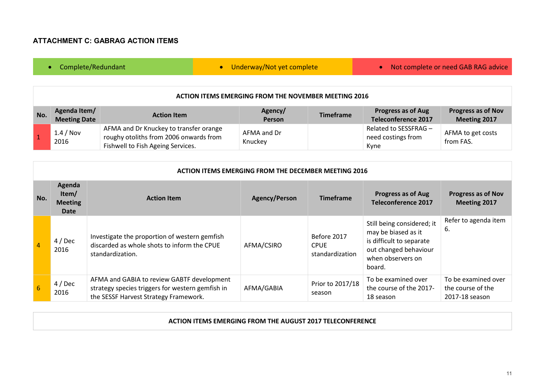#### **ATTACHMENT C: GABRAG ACTION ITEMS**

### • Complete/Redundant • • Underway/Not yet complete • Not complete or need GAB RAG advice

#### **ACTION ITEMS EMERGING FROM THE NOVEMBER MEETING 2016**

| No. | Agenda Item/<br><b>Meeting Date</b> | <b>Action Item</b>                                                                                                    | Agency/<br><b>Person</b> | <b>Timeframe</b> | <b>Progress as of Aug</b><br>Teleconference 2017    | <b>Progress as of Nov</b><br>Meeting 2017 |
|-----|-------------------------------------|-----------------------------------------------------------------------------------------------------------------------|--------------------------|------------------|-----------------------------------------------------|-------------------------------------------|
|     | $1.4 /$ Nov<br>2016                 | AFMA and Dr Knuckey to transfer orange<br>roughy otoliths from 2006 onwards from<br>Fishwell to Fish Ageing Services. | AFMA and Dr<br>Knuckey   |                  | Related to SESSFRAG -<br>need costings from<br>Kyne | AFMA to get costs<br>from FAS.            |

|                  | <b>ACTION ITEMS EMERGING FROM THE DECEMBER MEETING 2016</b> |                                                                                                                                         |                      |                                               |                                                                                                                                       |                                                            |  |
|------------------|-------------------------------------------------------------|-----------------------------------------------------------------------------------------------------------------------------------------|----------------------|-----------------------------------------------|---------------------------------------------------------------------------------------------------------------------------------------|------------------------------------------------------------|--|
| No.              | Agenda<br>Item/<br><b>Meeting</b><br>Date                   | <b>Action Item</b>                                                                                                                      | <b>Agency/Person</b> | <b>Timeframe</b>                              | <b>Progress as of Aug</b><br><b>Teleconference 2017</b>                                                                               | <b>Progress as of Nov</b><br>Meeting 2017                  |  |
| $\overline{4}$   | $4/$ Dec<br>2016                                            | Investigate the proportion of western gemfish<br>discarded as whole shots to inform the CPUE<br>standardization.                        | AFMA/CSIRO           | Before 2017<br><b>CPUE</b><br>standardization | Still being considered; it<br>may be biased as it<br>is difficult to separate<br>out changed behaviour<br>when observers on<br>board. | Refer to agenda item<br>6.                                 |  |
| $6 \overline{6}$ | $4/$ Dec<br>2016                                            | AFMA and GABIA to review GABTF development<br>strategy species triggers for western gemfish in<br>the SESSF Harvest Strategy Framework. | AFMA/GABIA           | Prior to 2017/18<br>season                    | To be examined over<br>the course of the 2017-<br>18 season                                                                           | To be examined over<br>the course of the<br>2017-18 season |  |

#### **ACTION ITEMS EMERGING FROM THE AUGUST 2017 TELECONFERENCE**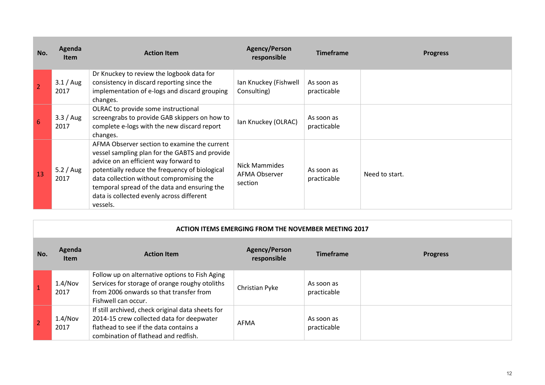| No.             | Agenda<br><b>Item</b> | <b>Action Item</b>                                                                                                                                                                                                                                                                                                                             | <b>Agency/Person</b><br>responsible              | <b>Timeframe</b>          | <b>Progress</b> |
|-----------------|-----------------------|------------------------------------------------------------------------------------------------------------------------------------------------------------------------------------------------------------------------------------------------------------------------------------------------------------------------------------------------|--------------------------------------------------|---------------------------|-----------------|
| $\overline{2}$  | $3.1/$ Aug<br>2017    | Dr Knuckey to review the logbook data for<br>consistency in discard reporting since the<br>implementation of e-logs and discard grouping<br>changes.                                                                                                                                                                                           | Ian Knuckey (Fishwell<br>Consulting)             | As soon as<br>practicable |                 |
| $6\overline{6}$ | 3.3 / Aug<br>2017     | OLRAC to provide some instructional<br>screengrabs to provide GAB skippers on how to<br>complete e-logs with the new discard report<br>changes.                                                                                                                                                                                                | Ian Knuckey (OLRAC)                              | As soon as<br>practicable |                 |
| 13              | 5.2 / Aug<br>2017     | AFMA Observer section to examine the current<br>vessel sampling plan for the GABTS and provide<br>advice on an efficient way forward to<br>potentially reduce the frequency of biological<br>data collection without compromising the<br>temporal spread of the data and ensuring the<br>data is collected evenly across different<br>vessels. | <b>Nick Mammides</b><br>AFMA Observer<br>section | As soon as<br>practicable | Need to start.  |

m

|     | <b>ACTION ITEMS EMERGING FROM THE NOVEMBER MEETING 2017</b> |                                                                                                                                                                                  |                                     |                           |                 |
|-----|-------------------------------------------------------------|----------------------------------------------------------------------------------------------------------------------------------------------------------------------------------|-------------------------------------|---------------------------|-----------------|
| No. | Agenda<br><b>Item</b>                                       | <b>Action Item</b>                                                                                                                                                               | <b>Agency/Person</b><br>responsible | <b>Timeframe</b>          | <b>Progress</b> |
|     | 1.4/Nov<br>2017                                             | Follow up on alternative options to Fish Aging<br>Services for storage of orange roughy otoliths<br>from 2006 onwards so that transfer from<br>Fishwell can occur.               | Christian Pyke                      | As soon as<br>practicable |                 |
|     | 1.4/Nov<br>2017                                             | If still archived, check original data sheets for<br>2014-15 crew collected data for deepwater<br>flathead to see if the data contains a<br>combination of flathead and redfish. | AFMA                                | As soon as<br>practicable |                 |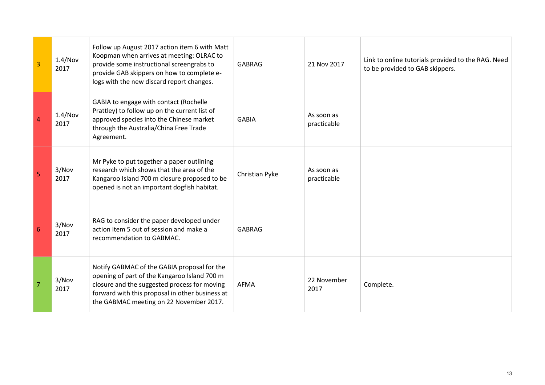| 3              | 1.4/Nov<br>2017 | Follow up August 2017 action item 6 with Matt<br>Koopman when arrives at meeting: OLRAC to<br>provide some instructional screengrabs to<br>provide GAB skippers on how to complete e-<br>logs with the new discard report changes.        | <b>GABRAG</b>  | 21 Nov 2017               | Link to online tutorials provided to the RAG. Need<br>to be provided to GAB skippers. |
|----------------|-----------------|-------------------------------------------------------------------------------------------------------------------------------------------------------------------------------------------------------------------------------------------|----------------|---------------------------|---------------------------------------------------------------------------------------|
| 4              | 1.4/Nov<br>2017 | GABIA to engage with contact (Rochelle<br>Prattley) to follow up on the current list of<br>approved species into the Chinese market<br>through the Australia/China Free Trade<br>Agreement.                                               | <b>GABIA</b>   | As soon as<br>practicable |                                                                                       |
| 5              | 3/Nov<br>2017   | Mr Pyke to put together a paper outlining<br>research which shows that the area of the<br>Kangaroo Island 700 m closure proposed to be<br>opened is not an important dogfish habitat.                                                     | Christian Pyke | As soon as<br>practicable |                                                                                       |
| 6              | 3/Nov<br>2017   | RAG to consider the paper developed under<br>action item 5 out of session and make a<br>recommendation to GABMAC.                                                                                                                         | <b>GABRAG</b>  |                           |                                                                                       |
| $\overline{7}$ | 3/Nov<br>2017   | Notify GABMAC of the GABIA proposal for the<br>opening of part of the Kangaroo Island 700 m<br>closure and the suggested process for moving<br>forward with this proposal in other business at<br>the GABMAC meeting on 22 November 2017. | <b>AFMA</b>    | 22 November<br>2017       | Complete.                                                                             |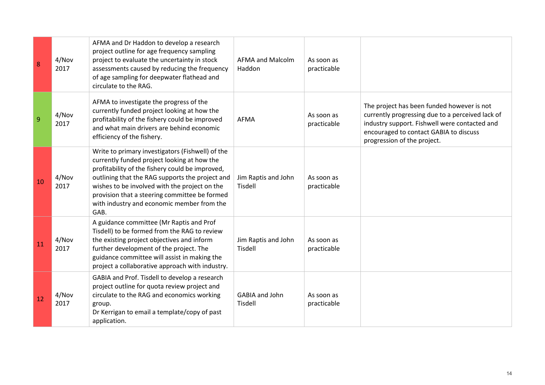| 8  | 4/Nov<br>2017 | AFMA and Dr Haddon to develop a research<br>project outline for age frequency sampling<br>project to evaluate the uncertainty in stock<br>assessments caused by reducing the frequency<br>of age sampling for deepwater flathead and<br>circulate to the RAG.                                                                                                 | <b>AFMA and Malcolm</b><br>Haddon | As soon as<br>practicable |                                                                                                                                                                                                                          |
|----|---------------|---------------------------------------------------------------------------------------------------------------------------------------------------------------------------------------------------------------------------------------------------------------------------------------------------------------------------------------------------------------|-----------------------------------|---------------------------|--------------------------------------------------------------------------------------------------------------------------------------------------------------------------------------------------------------------------|
| 9  | 4/Nov<br>2017 | AFMA to investigate the progress of the<br>currently funded project looking at how the<br>profitability of the fishery could be improved<br>and what main drivers are behind economic<br>efficiency of the fishery.                                                                                                                                           | <b>AFMA</b>                       | As soon as<br>practicable | The project has been funded however is not<br>currently progressing due to a perceived lack of<br>industry support. Fishwell were contacted and<br>encouraged to contact GABIA to discuss<br>progression of the project. |
| 10 | 4/Nov<br>2017 | Write to primary investigators (Fishwell) of the<br>currently funded project looking at how the<br>profitability of the fishery could be improved,<br>outlining that the RAG supports the project and<br>wishes to be involved with the project on the<br>provision that a steering committee be formed<br>with industry and economic member from the<br>GAB. | Jim Raptis and John<br>Tisdell    | As soon as<br>practicable |                                                                                                                                                                                                                          |
| 11 | 4/Nov<br>2017 | A guidance committee (Mr Raptis and Prof<br>Tisdell) to be formed from the RAG to review<br>the existing project objectives and inform<br>further development of the project. The<br>guidance committee will assist in making the<br>project a collaborative approach with industry.                                                                          | Jim Raptis and John<br>Tisdell    | As soon as<br>practicable |                                                                                                                                                                                                                          |
| 12 | 4/Nov<br>2017 | GABIA and Prof. Tisdell to develop a research<br>project outline for quota review project and<br>circulate to the RAG and economics working<br>group.<br>Dr Kerrigan to email a template/copy of past<br>application.                                                                                                                                         | GABIA and John<br><b>Tisdell</b>  | As soon as<br>practicable |                                                                                                                                                                                                                          |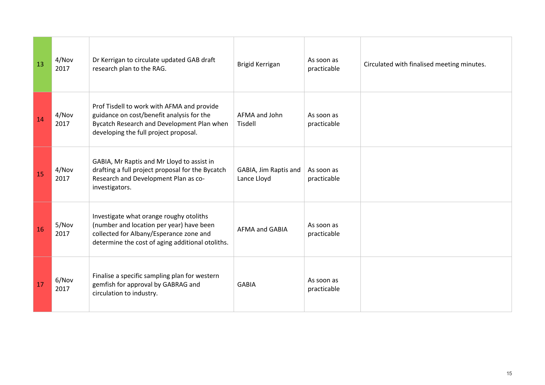| 13 | 4/Nov<br>2017 | Dr Kerrigan to circulate updated GAB draft<br>research plan to the RAG.                                                                                                            | <b>Brigid Kerrigan</b>               | As soon as<br>practicable | Circulated with finalised meeting minutes. |
|----|---------------|------------------------------------------------------------------------------------------------------------------------------------------------------------------------------------|--------------------------------------|---------------------------|--------------------------------------------|
| 14 | 4/Nov<br>2017 | Prof Tisdell to work with AFMA and provide<br>guidance on cost/benefit analysis for the<br>Bycatch Research and Development Plan when<br>developing the full project proposal.     | AFMA and John<br><b>Tisdell</b>      | As soon as<br>practicable |                                            |
| 15 | 4/Nov<br>2017 | GABIA, Mr Raptis and Mr Lloyd to assist in<br>drafting a full project proposal for the Bycatch<br>Research and Development Plan as co-<br>investigators.                           | GABIA, Jim Raptis and<br>Lance Lloyd | As soon as<br>practicable |                                            |
| 16 | 5/Nov<br>2017 | Investigate what orange roughy otoliths<br>(number and location per year) have been<br>collected for Albany/Esperance zone and<br>determine the cost of aging additional otoliths. | <b>AFMA and GABIA</b>                | As soon as<br>practicable |                                            |
| 17 | 6/Nov<br>2017 | Finalise a specific sampling plan for western<br>gemfish for approval by GABRAG and<br>circulation to industry.                                                                    | <b>GABIA</b>                         | As soon as<br>practicable |                                            |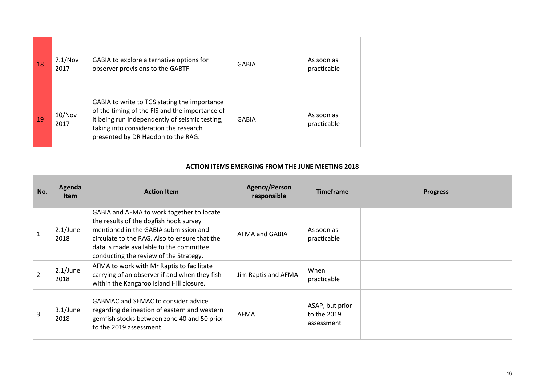| 18 | 7.1/Nov<br>2017 | GABIA to explore alternative options for<br>observer provisions to the GABTF.                                                                                                                                                    | GABIA | As soon as<br>practicable |  |
|----|-----------------|----------------------------------------------------------------------------------------------------------------------------------------------------------------------------------------------------------------------------------|-------|---------------------------|--|
| 19 | 10/Nov<br>2017  | GABIA to write to TGS stating the importance<br>of the timing of the FIS and the importance of<br>it being run independently of seismic testing,<br>taking into consideration the research<br>presented by DR Haddon to the RAG. | GABIA | As soon as<br>practicable |  |

| <b>ACTION ITEMS EMERGING FROM THE JUNE MEETING 2018</b> |                       |                                                                                                                                                                                                                                                                    |                                     |                                              |                 |
|---------------------------------------------------------|-----------------------|--------------------------------------------------------------------------------------------------------------------------------------------------------------------------------------------------------------------------------------------------------------------|-------------------------------------|----------------------------------------------|-----------------|
| No.                                                     | Agenda<br><b>Item</b> | <b>Action Item</b>                                                                                                                                                                                                                                                 | <b>Agency/Person</b><br>responsible | <b>Timeframe</b>                             | <b>Progress</b> |
| $\mathbf{1}$                                            | $2.1$ /June<br>2018   | GABIA and AFMA to work together to locate<br>the results of the dogfish hook survey<br>mentioned in the GABIA submission and<br>circulate to the RAG. Also to ensure that the<br>data is made available to the committee<br>conducting the review of the Strategy. | AFMA and GABIA                      | As soon as<br>practicable                    |                 |
| $\overline{2}$                                          | $2.1$ /June<br>2018   | AFMA to work with Mr Raptis to facilitate<br>carrying of an observer if and when they fish<br>within the Kangaroo Island Hill closure.                                                                                                                             | Jim Raptis and AFMA                 | When<br>practicable                          |                 |
| 3                                                       | $3.1$ /June<br>2018   | <b>GABMAC and SEMAC to consider advice</b><br>regarding delineation of eastern and western<br>gemfish stocks between zone 40 and 50 prior<br>to the 2019 assessment.                                                                                               | AFMA                                | ASAP, but prior<br>to the 2019<br>assessment |                 |